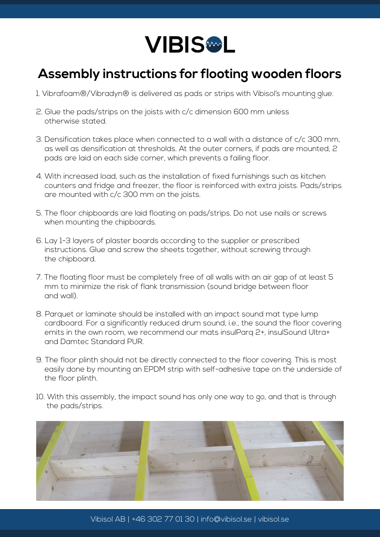

## **Assembly instructions for flooting wooden floors**

- 1. Vibrafoam®/Vibradyn® is delivered as pads or strips with Vibisol's mounting glue.
- 2. Glue the pads/strips on the joists with c/c dimension 600 mm unless otherwise stated.
- 3. Densification takes place when connected to a wall with a distance of c/c 300 mm, as well as densification at thresholds. At the outer corners, if pads are mounted, 2 pads are laid on each side corner, which prevents a failing floor.
- 4. With increased load, such as the installation of fixed furnishings such as kitchen counters and fridge and freezer, the floor is reinforced with extra joists. Pads/strips are mounted with c/c 300 mm on the joists.
- 5. The floor chipboards are laid floating on pads/strips. Do not use nails or screws when mounting the chipboards.
- 6. Lay 1-3 layers of plaster boards according to the supplier or prescribed instructions. Glue and screw the sheets together, without screwing through the chipboard.
- 7. The floating floor must be completely free of all walls with an air gap of at least 5 mm to minimize the risk of flank transmission (sound bridge between floor and wall).
- 8. Parquet or laminate should be installed with an impact sound mat type lump cardboard. For a significantly reduced drum sound, i.e., the sound the floor covering emits in the own room, we recommend our mats insulParq 2+, insulSound Ultra+ and Damtec Standard PUR.
- 9. The floor plinth should not be directly connected to the floor covering. This is most easily done by mounting an EPDM strip with self-adhesive tape on the underside of the floor plinth.
- 10. With this assembly, the impact sound has only one way to go, and that is through the pads/strips.